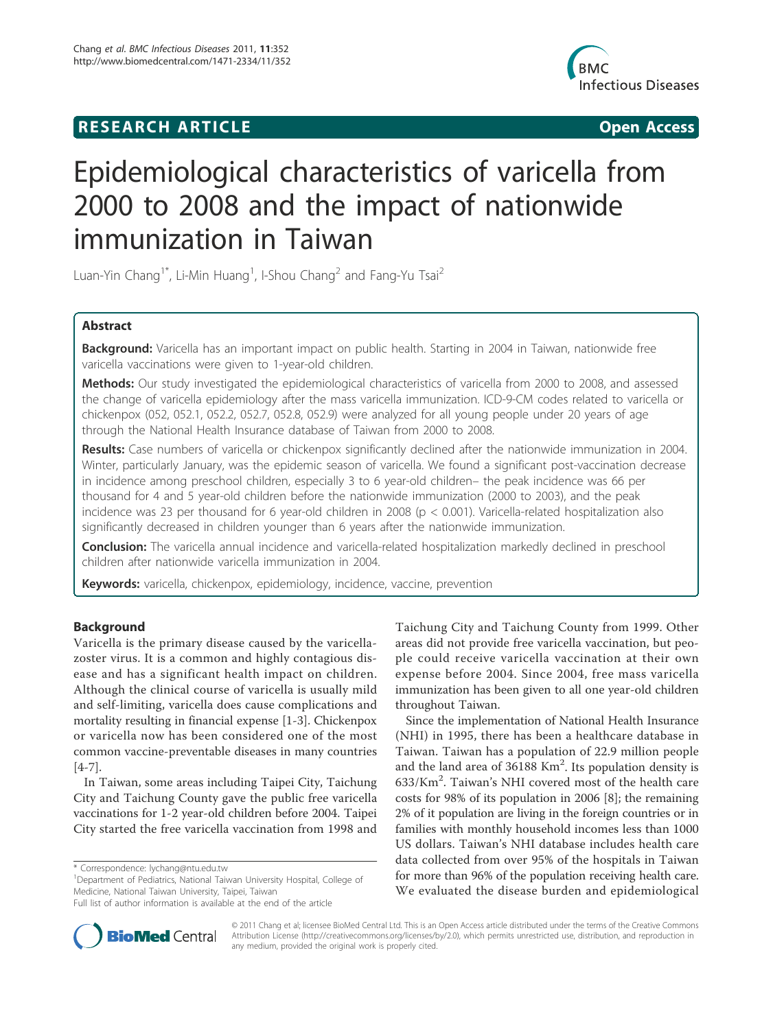## **RESEARCH ARTICLE Example 2018 CONSIDERING ACCESS**



# Epidemiological characteristics of varicella from 2000 to 2008 and the impact of nationwide immunization in Taiwan

Luan-Yin Chang<sup>1\*</sup>, Li-Min Huang<sup>1</sup>, I-Shou Chang<sup>2</sup> and Fang-Yu Tsai<sup>2</sup>

## Abstract

Background: Varicella has an important impact on public health. Starting in 2004 in Taiwan, nationwide free varicella vaccinations were given to 1-year-old children.

Methods: Our study investigated the epidemiological characteristics of varicella from 2000 to 2008, and assessed the change of varicella epidemiology after the mass varicella immunization. ICD-9-CM codes related to varicella or chickenpox (052, 052.1, 052.2, 052.7, 052.8, 052.9) were analyzed for all young people under 20 years of age through the National Health Insurance database of Taiwan from 2000 to 2008.

Results: Case numbers of varicella or chickenpox significantly declined after the nationwide immunization in 2004. Winter, particularly January, was the epidemic season of varicella. We found a significant post-vaccination decrease in incidence among preschool children, especially 3 to 6 year-old children– the peak incidence was 66 per thousand for 4 and 5 year-old children before the nationwide immunization (2000 to 2003), and the peak incidence was 23 per thousand for 6 year-old children in 2008 (p < 0.001). Varicella-related hospitalization also significantly decreased in children younger than 6 years after the nationwide immunization.

Conclusion: The varicella annual incidence and varicella-related hospitalization markedly declined in preschool children after nationwide varicella immunization in 2004.

Keywords: varicella, chickenpox, epidemiology, incidence, vaccine, prevention

## Background

Varicella is the primary disease caused by the varicellazoster virus. It is a common and highly contagious disease and has a significant health impact on children. Although the clinical course of varicella is usually mild and self-limiting, varicella does cause complications and mortality resulting in financial expense [1-3]. Chickenpox or varicella now has been considered one of the most common vaccine-preventable diseases in many countries [4-7].

In Taiwan, some areas including Taipei City, Taichung City and Taichung County gave the public free varicella vaccinations for 1-2 year-old children before 2004. Taipei City started the free varicella vaccination from 1998 and

<sup>1</sup>Department of Pediatrics, National Taiwan University Hospital, College of Medicine, National Taiwan University, Taipei, Taiwan

Taichung City and Taichung County from 1999. Other areas did not provide free varicella vaccination, but people could receive varicella vaccination at their own expense before 2004. Since 2004, free mass varicella immunization has been given to all one year-old children throughout Taiwan.

Since the implementation of National Health Insurance (NHI) in 1995, there has been a healthcare database in Taiwan. Taiwan has a population of 22.9 million people and the land area of 36188 Km<sup>2</sup>. Its population density is 633/Km<sup>2</sup> . Taiwan's NHI covered most of the health care costs for 98% of its population in 2006 [8]; the remaining 2% of it population are living in the foreign countries or in families with monthly household incomes less than 1000 US dollars. Taiwan's NHI database includes health care data collected from over 95% of the hospitals in Taiwan for more than 96% of the population receiving health care. We evaluated the disease burden and epidemiological



© 2011 Chang et al; licensee BioMed Central Ltd. This is an Open Access article distributed under the terms of the Creative Commons Attribution License (http://creativecommons.org/licenses/by/2.0), which permits unrestricted use, distribution, and reproduction in any medium, provided the original work is properly cited.

<sup>\*</sup> Correspondence: lychang@ntu.edu.tw

Full list of author information is available at the end of the article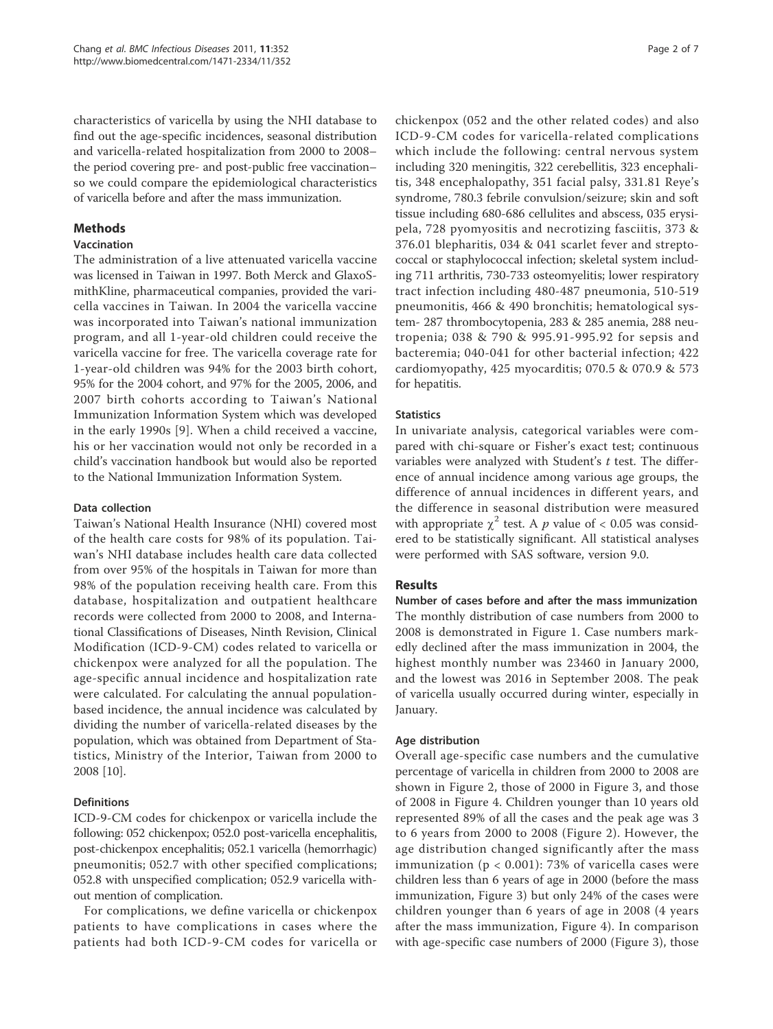characteristics of varicella by using the NHI database to find out the age-specific incidences, seasonal distribution and varicella-related hospitalization from 2000 to 2008– the period covering pre- and post-public free vaccination– so we could compare the epidemiological characteristics of varicella before and after the mass immunization.

## **Methods**

## Vaccination

The administration of a live attenuated varicella vaccine was licensed in Taiwan in 1997. Both Merck and GlaxoSmithKline, pharmaceutical companies, provided the varicella vaccines in Taiwan. In 2004 the varicella vaccine was incorporated into Taiwan's national immunization program, and all 1-year-old children could receive the varicella vaccine for free. The varicella coverage rate for 1-year-old children was 94% for the 2003 birth cohort, 95% for the 2004 cohort, and 97% for the 2005, 2006, and 2007 birth cohorts according to Taiwan's National Immunization Information System which was developed in the early 1990s [9]. When a child received a vaccine, his or her vaccination would not only be recorded in a child's vaccination handbook but would also be reported to the National Immunization Information System.

## Data collection

Taiwan's National Health Insurance (NHI) covered most of the health care costs for 98% of its population. Taiwan's NHI database includes health care data collected from over 95% of the hospitals in Taiwan for more than 98% of the population receiving health care. From this database, hospitalization and outpatient healthcare records were collected from 2000 to 2008, and International Classifications of Diseases, Ninth Revision, Clinical Modification (ICD-9-CM) codes related to varicella or chickenpox were analyzed for all the population. The age-specific annual incidence and hospitalization rate were calculated. For calculating the annual populationbased incidence, the annual incidence was calculated by dividing the number of varicella-related diseases by the population, which was obtained from Department of Statistics, Ministry of the Interior, Taiwan from 2000 to 2008 [10].

## Definitions

ICD-9-CM codes for chickenpox or varicella include the following: 052 chickenpox; 052.0 post-varicella encephalitis, post-chickenpox encephalitis; 052.1 varicella (hemorrhagic) pneumonitis; 052.7 with other specified complications; 052.8 with unspecified complication; 052.9 varicella without mention of complication.

For complications, we define varicella or chickenpox patients to have complications in cases where the patients had both ICD-9-CM codes for varicella or chickenpox (052 and the other related codes) and also ICD-9-CM codes for varicella-related complications which include the following: central nervous system including 320 meningitis, 322 cerebellitis, 323 encephalitis, 348 encephalopathy, 351 facial palsy, 331.81 Reye's syndrome, 780.3 febrile convulsion/seizure; skin and soft tissue including 680-686 cellulites and abscess, 035 erysipela, 728 pyomyositis and necrotizing fasciitis, 373 & 376.01 blepharitis, 034 & 041 scarlet fever and streptococcal or staphylococcal infection; skeletal system including 711 arthritis, 730-733 osteomyelitis; lower respiratory tract infection including 480-487 pneumonia, 510-519 pneumonitis, 466 & 490 bronchitis; hematological system- 287 thrombocytopenia, 283 & 285 anemia, 288 neutropenia; 038 & 790 & 995.91-995.92 for sepsis and bacteremia; 040-041 for other bacterial infection; 422 cardiomyopathy, 425 myocarditis; 070.5 & 070.9 & 573 for hepatitis.

## **Statistics**

In univariate analysis, categorical variables were compared with chi-square or Fisher's exact test; continuous variables were analyzed with Student's t test. The difference of annual incidence among various age groups, the difference of annual incidences in different years, and the difference in seasonal distribution were measured with appropriate  $\chi^2$  test. A p value of < 0.05 was considered to be statistically significant. All statistical analyses were performed with SAS software, version 9.0.

## **Results**

Number of cases before and after the mass immunization The monthly distribution of case numbers from 2000 to 2008 is demonstrated in Figure 1. Case numbers markedly declined after the mass immunization in 2004, the highest monthly number was 23460 in January 2000, and the lowest was 2016 in September 2008. The peak of varicella usually occurred during winter, especially in January.

### Age distribution

Overall age-specific case numbers and the cumulative percentage of varicella in children from 2000 to 2008 are shown in Figure 2, those of 2000 in Figure 3, and those of 2008 in Figure 4. Children younger than 10 years old represented 89% of all the cases and the peak age was 3 to 6 years from 2000 to 2008 (Figure 2). However, the age distribution changed significantly after the mass immunization ( $p < 0.001$ ): 73% of varicella cases were children less than 6 years of age in 2000 (before the mass immunization, Figure 3) but only 24% of the cases were children younger than 6 years of age in 2008 (4 years after the mass immunization, Figure 4). In comparison with age-specific case numbers of 2000 (Figure 3), those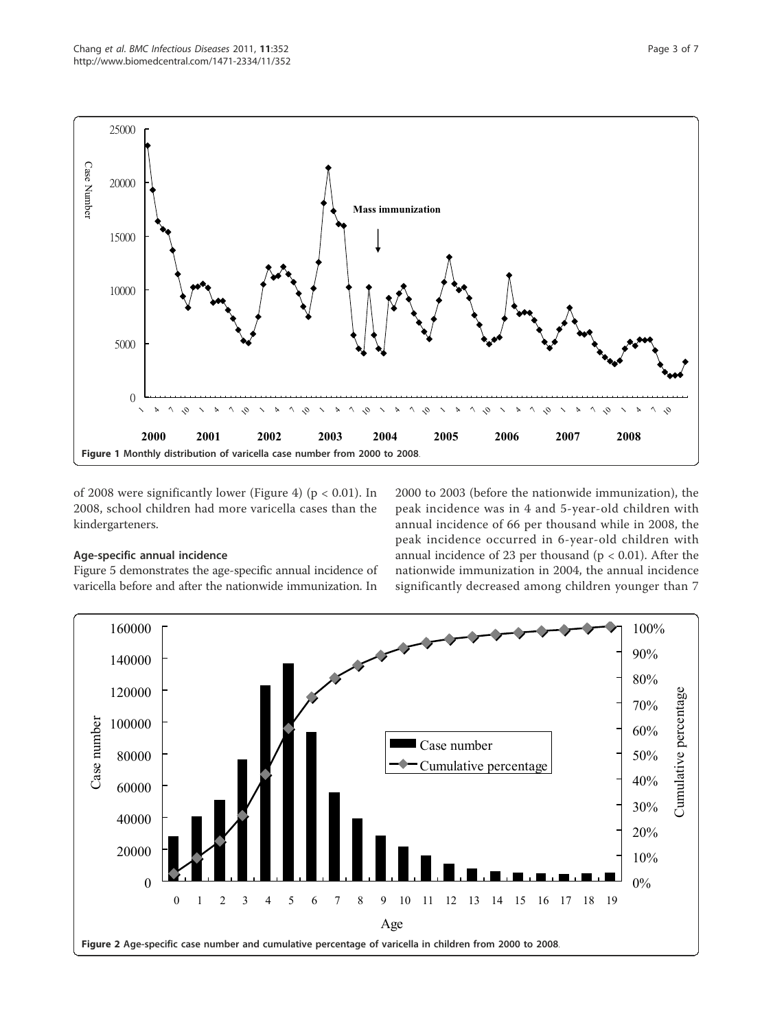

of 2008 were significantly lower (Figure 4) ( $p < 0.01$ ). In 2008, school children had more varicella cases than the kindergarteners.

## Age-specific annual incidence

Figure 5 demonstrates the age-specific annual incidence of varicella before and after the nationwide immunization. In

2000 to 2003 (before the nationwide immunization), the peak incidence was in 4 and 5-year-old children with annual incidence of 66 per thousand while in 2008, the peak incidence occurred in 6-year-old children with annual incidence of 23 per thousand ( $p < 0.01$ ). After the nationwide immunization in 2004, the annual incidence significantly decreased among children younger than 7

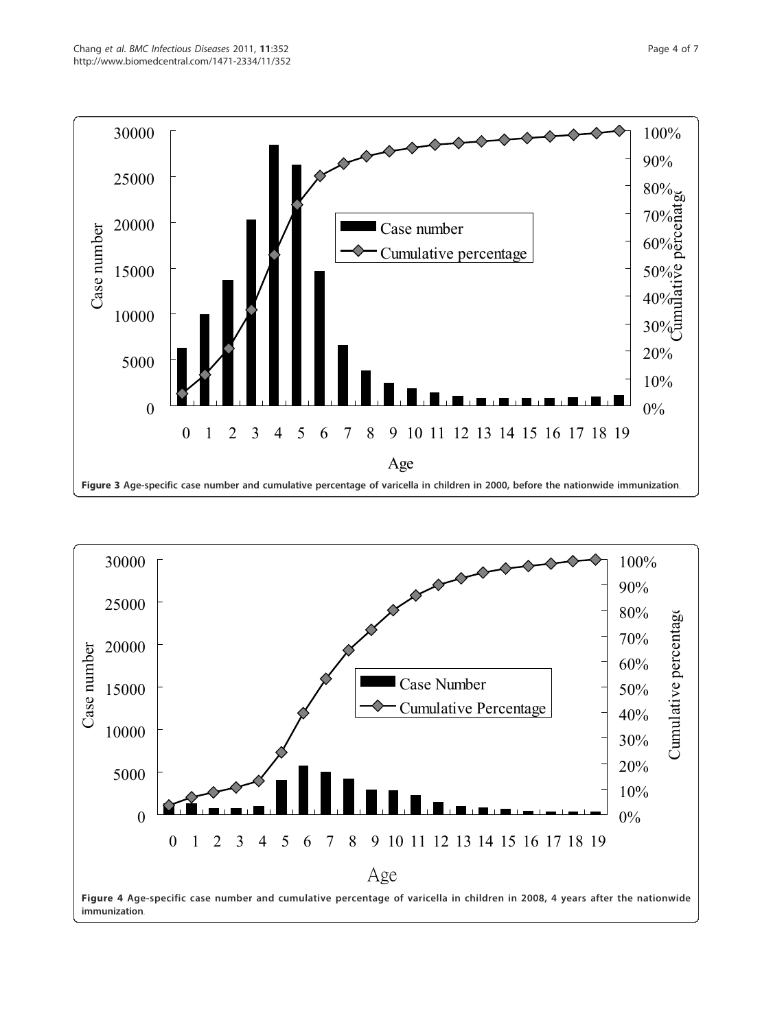

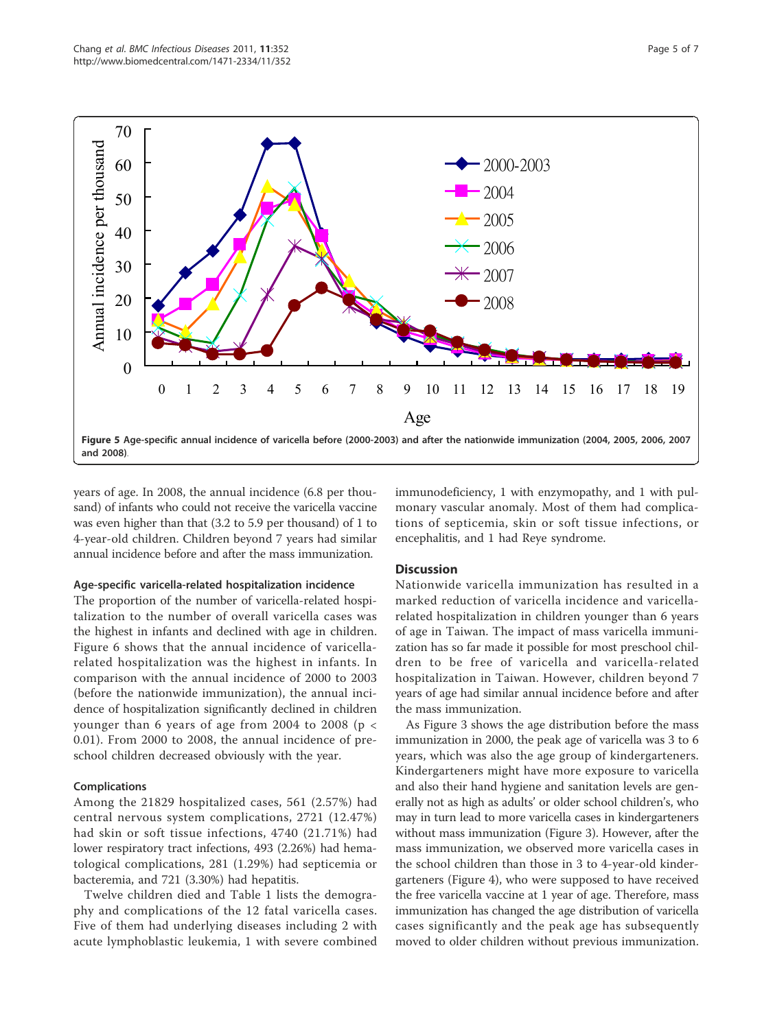

years of age. In 2008, the annual incidence (6.8 per thousand) of infants who could not receive the varicella vaccine was even higher than that (3.2 to 5.9 per thousand) of 1 to 4-year-old children. Children beyond 7 years had similar annual incidence before and after the mass immunization.

#### Age-specific varicella-related hospitalization incidence

The proportion of the number of varicella-related hospitalization to the number of overall varicella cases was the highest in infants and declined with age in children. Figure 6 shows that the annual incidence of varicellarelated hospitalization was the highest in infants. In comparison with the annual incidence of 2000 to 2003 (before the nationwide immunization), the annual incidence of hospitalization significantly declined in children younger than 6 years of age from 2004 to 2008 (p < 0.01). From 2000 to 2008, the annual incidence of preschool children decreased obviously with the year.

#### Complications

Among the 21829 hospitalized cases, 561 (2.57%) had central nervous system complications, 2721 (12.47%) had skin or soft tissue infections, 4740 (21.71%) had lower respiratory tract infections, 493 (2.26%) had hematological complications, 281 (1.29%) had septicemia or bacteremia, and 721 (3.30%) had hepatitis.

Twelve children died and Table 1 lists the demography and complications of the 12 fatal varicella cases. Five of them had underlying diseases including 2 with acute lymphoblastic leukemia, 1 with severe combined immunodeficiency, 1 with enzymopathy, and 1 with pulmonary vascular anomaly. Most of them had complications of septicemia, skin or soft tissue infections, or encephalitis, and 1 had Reye syndrome.

#### **Discussion**

Nationwide varicella immunization has resulted in a marked reduction of varicella incidence and varicellarelated hospitalization in children younger than 6 years of age in Taiwan. The impact of mass varicella immunization has so far made it possible for most preschool children to be free of varicella and varicella-related hospitalization in Taiwan. However, children beyond 7 years of age had similar annual incidence before and after the mass immunization.

As Figure 3 shows the age distribution before the mass immunization in 2000, the peak age of varicella was 3 to 6 years, which was also the age group of kindergarteners. Kindergarteners might have more exposure to varicella and also their hand hygiene and sanitation levels are generally not as high as adults' or older school children's, who may in turn lead to more varicella cases in kindergarteners without mass immunization (Figure 3). However, after the mass immunization, we observed more varicella cases in the school children than those in 3 to 4-year-old kindergarteners (Figure 4), who were supposed to have received the free varicella vaccine at 1 year of age. Therefore, mass immunization has changed the age distribution of varicella cases significantly and the peak age has subsequently moved to older children without previous immunization.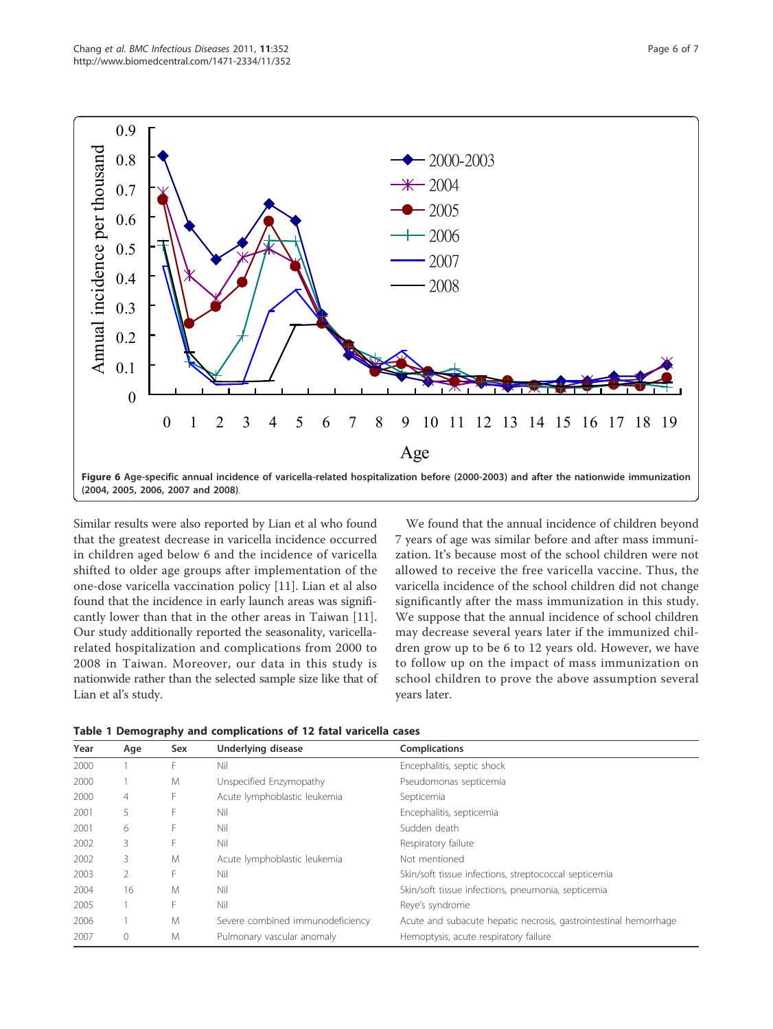

Similar results were also reported by Lian et al who found that the greatest decrease in varicella incidence occurred in children aged below 6 and the incidence of varicella shifted to older age groups after implementation of the one-dose varicella vaccination policy [11]. Lian et al also found that the incidence in early launch areas was significantly lower than that in the other areas in Taiwan [11]. Our study additionally reported the seasonality, varicellarelated hospitalization and complications from 2000 to 2008 in Taiwan. Moreover, our data in this study is nationwide rather than the selected sample size like that of Lian et al's study.

We found that the annual incidence of children beyond 7 years of age was similar before and after mass immunization. It's because most of the school children were not allowed to receive the free varicella vaccine. Thus, the varicella incidence of the school children did not change significantly after the mass immunization in this study. We suppose that the annual incidence of school children may decrease several years later if the immunized children grow up to be 6 to 12 years old. However, we have to follow up on the impact of mass immunization on school children to prove the above assumption several years later.

| Year | Age | Sex | Underlying disease               | <b>Complications</b>                                             |
|------|-----|-----|----------------------------------|------------------------------------------------------------------|
| 2000 |     | F   | Nil                              | Encephalitis, septic shock                                       |
| 2000 |     | M   | Unspecified Enzymopathy          | Pseudomonas septicemia                                           |
| 2000 | 4   | F   | Acute lymphoblastic leukemia     | Septicemia                                                       |
| 2001 | 5   | F   | Nil                              | Encephalitis, septicemia                                         |
| 2001 | 6   | F   | Nil                              | Sudden death                                                     |
| 2002 | 3   | F   | Nil                              | Respiratory failure                                              |
| 2002 | 3   | M   | Acute lymphoblastic leukemia     | Not mentioned                                                    |
| 2003 | 2   | F   | Nil                              | Skin/soft tissue infections, streptococcal septicemia            |
| 2004 | 16  | M   | Nil                              | Skin/soft tissue infections, pneumonia, septicemia               |
| 2005 |     | F   | Nil                              | Reve's syndrome                                                  |
| 2006 |     | M   | Severe combined immunodeficiency | Acute and subacute hepatic necrosis, gastrointestinal hemorrhage |
| 2007 | 0   | M   | Pulmonary vascular anomaly       | Hemoptysis, acute respiratory failure                            |

Table 1 Demography and complications of 12 fatal varicella cases